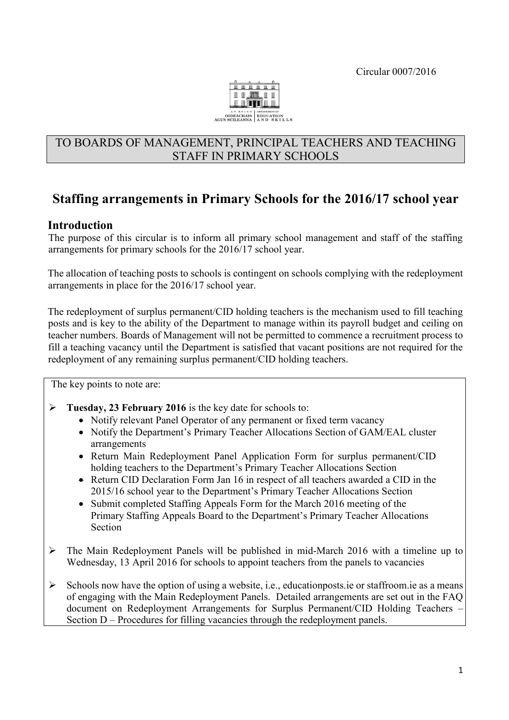

## TO BOARDS OF MANAGEMENT, PRINCIPAL TEACHERS AND TEACHING STAFF IN PRIMARY SCHOOLS

# **Staffing arrangements in Primary Schools for the 2016/17 school year**

## **Introduction**

The purpose of this circular is to inform all primary school management and staff of the staffing arrangements for primary schools for the 2016/17 school year.

The allocation of teaching posts to schools is contingent on schools complying with the redeployment arrangements in place for the 2016/17 school year.

The redeployment of surplus permanent/CID holding teachers is the mechanism used to fill teaching posts and is key to the ability of the Department to manage within its payroll budget and ceiling on teacher numbers. Boards of Management will not be permitted to commence a recruitment process to fill a teaching vacancy until the Department is satisfied that vacant positions are not required for the redeployment of any remaining surplus permanent/CID holding teachers.

The key points to note are:

- **Tuesday, 23 February 2016** is the key date for schools to:
	- Notify relevant Panel Operator of any permanent or fixed term vacancy
	- Notify the Department's Primary Teacher Allocations Section of GAM/EAL cluster arrangements
	- Return Main Redeployment Panel Application Form for surplus permanent/CID holding teachers to the Department's Primary Teacher Allocations Section
	- Return CID Declaration Form Jan 16 in respect of all teachers awarded a CID in the 2015/16 school year to the Department's Primary Teacher Allocations Section
	- Submit completed Staffing Appeals Form for the March 2016 meeting of the Primary Staffing Appeals Board to the Department's Primary Teacher Allocations Section
- $\triangleright$  The Main Redeployment Panels will be published in mid-March 2016 with a timeline up to Wednesday, 13 April 2016 for schools to appoint teachers from the panels to vacancies
- $\triangleright$  Schools now have the option of using a website, i.e., educationposts ie or staffroom ie as a means of engaging with the Main Redeployment Panels. Detailed arrangements are set out in the FAQ document on Redeployment Arrangements for Surplus Permanent/CID Holding Teachers – Section D – Procedures for filling vacancies through the redeployment panels.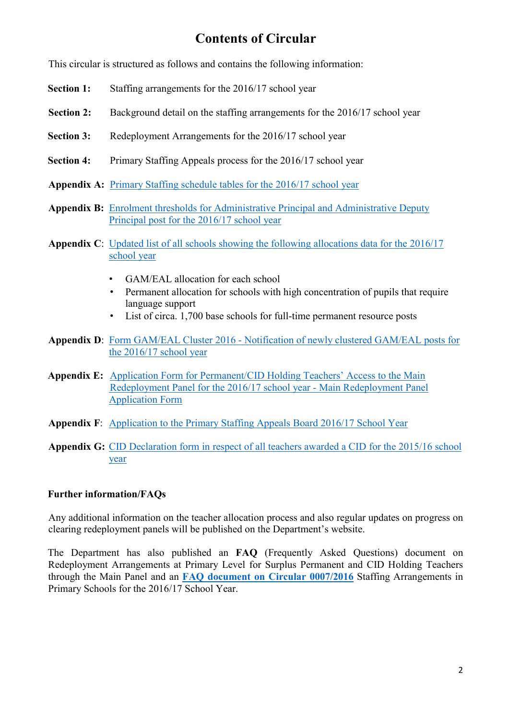# **Contents of Circular**

This circular is structured as follows and contains the following information:

- **Section 1:** Staffing arrangements for the 2016/17 school year
- **Section 2:** Background detail on the staffing arrangements for the 2016/17 school year
- **Section 3:** Redeployment Arrangements for the 2016/17 school year
- **Section 4:** Primary Staffing Appeals process for the 2016/17 school year
- **Appendix A:** [Primary Staffing schedule tables for the 2016/17](http://www.education.ie/en/Circulars-and-Forms/Active-Circulars/cl0007_2016_appendix_A.pdf) school year
- **Appendix B:** [Enrolment thresholds for Administrative Principal and Administrative Deputy](http://www.education.ie/en/Circulars-and-Forms/Active-Circulars/cl0007_2016_appendix_B.pdf)  Principal post [for the 2016/17 school year](http://www.education.ie/en/Circulars-and-Forms/Active-Circulars/cl0007_2016_appendix_B.pdf)
- **Appendix C**[:](http://www.education.ie/en/Circulars-and-Forms/Active-Circulars/cl0013_2013_appendix_C.pdf) Updated list of all schools showing the [following allocations data for the 2016/17](http://www.education.ie/en/Circulars-and-Forms/Active-Circulars/cl0007_2016_appendix_C.pdf) [school year](http://www.education.ie/en/Circulars-and-Forms/Active-Circulars/cl0007_2016_appendix_C.pdf)
	- GAM/EAL allocation for each school
	- Permanent allocation for schools with high concentration of pupils that require language support
	- List of circa. 1,700 base schools for full-time permanent resource posts
- **Appendix D**[:](http://www.education.ie/en/Circulars-and-Forms/Active-Circulars/cl0013_2013_appendix_D.pdf) Form GAM/EAL Cluster 2016 [Notification of newly clustered GAM/EAL posts for](http://www.education.ie/en/Circulars-and-Forms/Active-Circulars/cl0007_2016_appendix_D.pdf)  [the 2016/17](http://www.education.ie/en/Circulars-and-Forms/Active-Circulars/cl0007_2016_appendix_D.pdf) school year
- **Appendix E:** Application Form for Permanent/[CID Holding Teachers' Access to the Main](http://www.education.ie/en/Circulars-and-Forms/Active-Circulars/cl0007_2016_appendix_E.pdf)  [Redeployment Panel for the 2016/17](http://www.education.ie/en/Circulars-and-Forms/Active-Circulars/cl0007_2016_appendix_E.pdf) school year - Main Redeployment Panel [Application Form](http://www.education.ie/en/Circulars-and-Forms/Active-Circulars/cl0007_2016_appendix_E.pdf)
- **Appendix F**[:](http://www.education.ie/en/Circulars-and-Forms/Active-Circulars/cl0013_2013_appendix_E.pdf) Application [to the Primary Staffing Appeals Board 2016/17](http://www.education.ie/en/Circulars-and-Forms/Active-Circulars/cl0007_2016_appendix_F.pdf) School Year
- **Appendix G:** [CID Declaration form in respect of all teachers awarded a CID for the 2015/16](http://www.education.ie/en/Circulars-and-Forms/Active-Circulars/cl0007_2016_appendix_G.pdf) school [year](http://www.education.ie/en/Circulars-and-Forms/Active-Circulars/cl0007_2016_appendix_G.pdf)

## **Further information/FAQs**

Any additional information on the teacher allocation process and also regular updates on progress on clearing redeployment panels will be published on the Department's website.

The Department has also published an **FAQ** (Frequently Asked Questions) document on Redeployment Arrangements at Primary Level for Surplus Permanent and CID Holding Teachers through the Main Panel and an **FAQ [document on Circular 0007/2016](http://www.education.ie/en/Schools-Colleges/Services/Teacher-Allocations/Teacher-Allocation/Frequently-Asked-Questions-on-Circular-0007-2016.pdf)** Staffing Arrangements in Primary Schools for the 2016/17 School Year.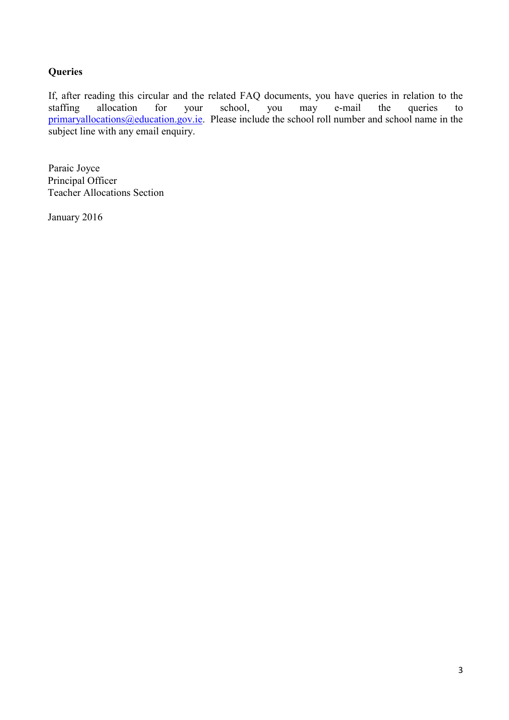## **Queries**

If, after reading this circular and the related FAQ documents, you have queries in relation to the staffing allocation for your school, you may e-mail the queries to staffing allocation for your school, you may e-mail the queries to primaryallocations@education.gov.ie. Please include the school roll number and school name in the subject line with any email enquiry.

Paraic Joyce Principal Officer Teacher Allocations Section

January 2016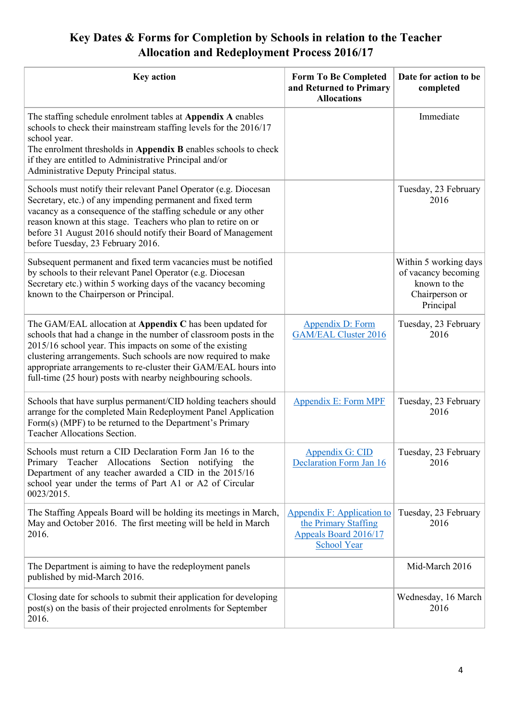# **Key Dates & Forms for Completion by Schools in relation to the Teacher Allocation and Redeployment Process 2016/17**

| <b>Key action</b>                                                                                                                                                                                                                                                                                                                                                                               | <b>Form To Be Completed</b><br>and Returned to Primary<br><b>Allocations</b>                      | Date for action to be<br>completed                                                          |
|-------------------------------------------------------------------------------------------------------------------------------------------------------------------------------------------------------------------------------------------------------------------------------------------------------------------------------------------------------------------------------------------------|---------------------------------------------------------------------------------------------------|---------------------------------------------------------------------------------------------|
| The staffing schedule enrolment tables at Appendix A enables<br>schools to check their mainstream staffing levels for the 2016/17<br>school year.<br>The enrolment thresholds in Appendix B enables schools to check<br>if they are entitled to Administrative Principal and/or<br>Administrative Deputy Principal status.                                                                      |                                                                                                   | Immediate                                                                                   |
| Schools must notify their relevant Panel Operator (e.g. Diocesan<br>Secretary, etc.) of any impending permanent and fixed term<br>vacancy as a consequence of the staffing schedule or any other<br>reason known at this stage. Teachers who plan to retire on or<br>before 31 August 2016 should notify their Board of Management<br>before Tuesday, 23 February 2016.                         |                                                                                                   | Tuesday, 23 February<br>2016                                                                |
| Subsequent permanent and fixed term vacancies must be notified<br>by schools to their relevant Panel Operator (e.g. Diocesan<br>Secretary etc.) within 5 working days of the vacancy becoming<br>known to the Chairperson or Principal.                                                                                                                                                         |                                                                                                   | Within 5 working days<br>of vacancy becoming<br>known to the<br>Chairperson or<br>Principal |
| The GAM/EAL allocation at Appendix C has been updated for<br>schools that had a change in the number of classroom posts in the<br>2015/16 school year. This impacts on some of the existing<br>clustering arrangements. Such schools are now required to make<br>appropriate arrangements to re-cluster their GAM/EAL hours into<br>full-time (25 hour) posts with nearby neighbouring schools. | Appendix D: Form<br><b>GAM/EAL Cluster 2016</b>                                                   | Tuesday, 23 February<br>2016                                                                |
| Schools that have surplus permanent/CID holding teachers should<br>arrange for the completed Main Redeployment Panel Application<br>Form(s) (MPF) to be returned to the Department's Primary<br><b>Teacher Allocations Section.</b>                                                                                                                                                             | <b>Appendix E: Form MPF</b>                                                                       | Tuesday, 23 February<br>2016                                                                |
| Schools must return a CID Declaration Form Jan 16 to the<br>Primary Teacher Allocations Section notifying the<br>Department of any teacher awarded a CID in the 2015/16<br>school year under the terms of Part A1 or A2 of Circular<br>0023/2015.                                                                                                                                               | Appendix G: CID<br><b>Declaration Form Jan 16</b>                                                 | Tuesday, 23 February<br>2016                                                                |
| The Staffing Appeals Board will be holding its meetings in March,<br>May and October 2016. The first meeting will be held in March<br>2016.                                                                                                                                                                                                                                                     | Appendix F: Application to<br>the Primary Staffing<br>Appeals Board 2016/17<br><b>School Year</b> | Tuesday, 23 February<br>2016                                                                |
| The Department is aiming to have the redeployment panels<br>published by mid-March 2016.                                                                                                                                                                                                                                                                                                        |                                                                                                   | Mid-March 2016                                                                              |
| Closing date for schools to submit their application for developing<br>post(s) on the basis of their projected enrolments for September<br>2016.                                                                                                                                                                                                                                                |                                                                                                   | Wednesday, 16 March<br>2016                                                                 |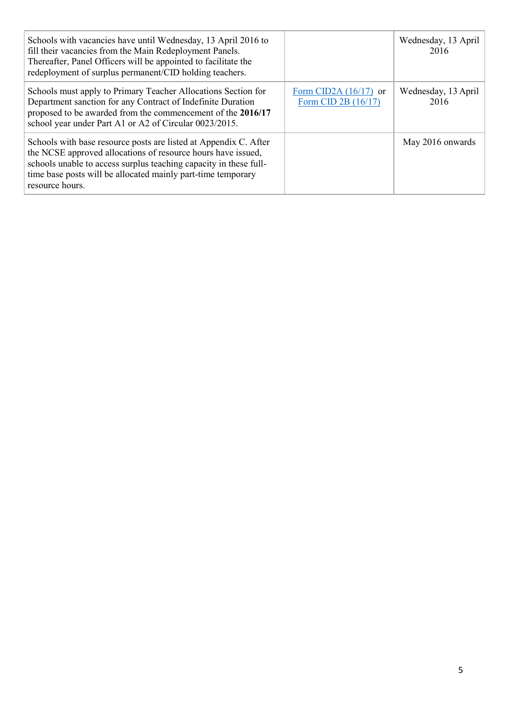| Schools with vacancies have until Wednesday, 13 April 2016 to<br>fill their vacancies from the Main Redeployment Panels.<br>Thereafter, Panel Officers will be appointed to facilitate the<br>redeployment of surplus permanent/CID holding teachers.                                    |                                                | Wednesday, 13 April<br>2016 |
|------------------------------------------------------------------------------------------------------------------------------------------------------------------------------------------------------------------------------------------------------------------------------------------|------------------------------------------------|-----------------------------|
| Schools must apply to Primary Teacher Allocations Section for<br>Department sanction for any Contract of Indefinite Duration<br>proposed to be awarded from the commencement of the 2016/17<br>school year under Part A1 or A2 of Circular 0023/2015.                                    | Form CID2A $(16/17)$ or<br>Form CID 2B (16/17) | Wednesday, 13 April<br>2016 |
| Schools with base resource posts are listed at Appendix C. After<br>the NCSE approved allocations of resource hours have issued,<br>schools unable to access surplus teaching capacity in these full-<br>time base posts will be allocated mainly part-time temporary<br>resource hours. |                                                | May 2016 onwards            |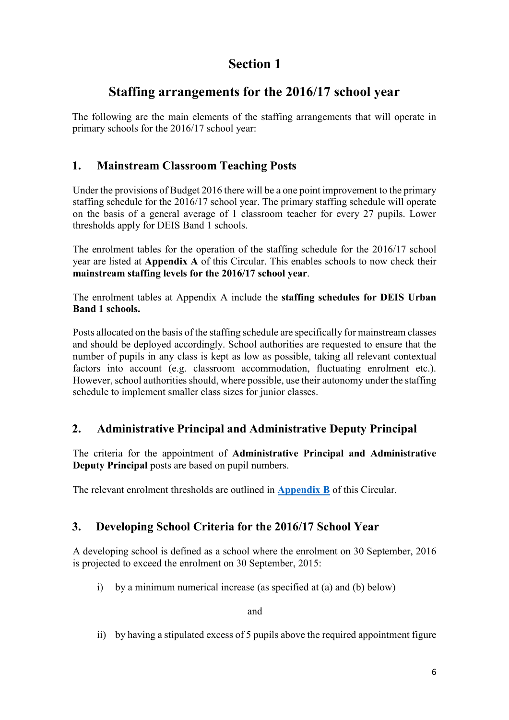# **Section 1**

# **Staffing arrangements for the 2016/17 school year**

The following are the main elements of the staffing arrangements that will operate in primary schools for the 2016/17 school year:

# **1. Mainstream Classroom Teaching Posts**

Under the provisions of Budget 2016 there will be a one point improvement to the primary staffing schedule for the 2016/17 school year. The primary staffing schedule will operate on the basis of a general average of 1 classroom teacher for every 27 pupils. Lower thresholds apply for DEIS Band 1 schools.

The enrolment tables for the operation of the staffing schedule for the 2016/17 school year are listed at **Appendix A** of this Circular. This enables schools to now check their **mainstream staffing levels for the 2016/17 school year**.

The enrolment tables at Appendix A include the **staffing schedules for DEIS Urban Band 1 schools.**

Posts allocated on the basis of the staffing schedule are specifically for mainstream classes and should be deployed accordingly. School authorities are requested to ensure that the number of pupils in any class is kept as low as possible, taking all relevant contextual factors into account (e.g. classroom accommodation, fluctuating enrolment etc.). However, school authorities should, where possible, use their autonomy under the staffing schedule to implement smaller class sizes for junior classes.

# **2. Administrative Principal and Administrative Deputy Principal**

The criteria for the appointment of **Administrative Principal and Administrative Deputy Principal** posts are based on pupil numbers.

The relevant enrolment thresholds are outlined in **[Appendix B](http://www.education.ie/en/Circulars-and-Forms/Active-Circulars/cl0007_2016_appendix_B.pdf)** of this Circular.

# **3. Developing School Criteria for the 2016/17 School Year**

A developing school is defined as a school where the enrolment on 30 September, 2016 is projected to exceed the enrolment on 30 September, 2015:

i) by a minimum numerical increase (as specified at (a) and (b) below)

and

ii) by having a stipulated excess of 5 pupils above the required appointment figure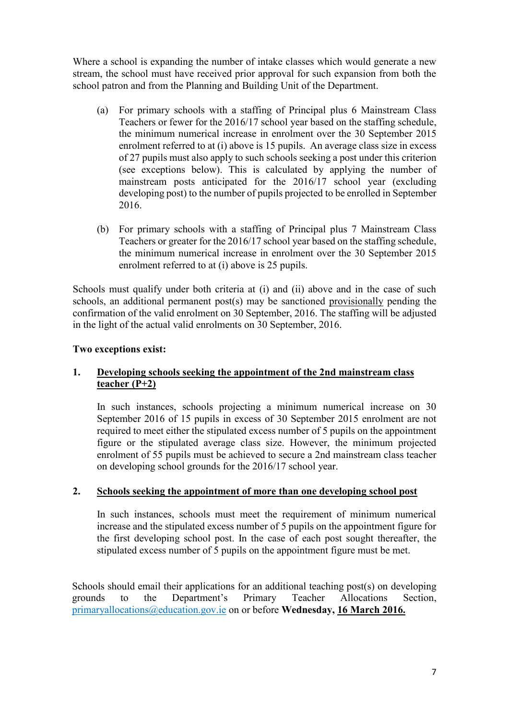Where a school is expanding the number of intake classes which would generate a new stream, the school must have received prior approval for such expansion from both the school patron and from the Planning and Building Unit of the Department.

- (a) For primary schools with a staffing of Principal plus 6 Mainstream Class Teachers or fewer for the 2016/17 school year based on the staffing schedule, the minimum numerical increase in enrolment over the 30 September 2015 enrolment referred to at (i) above is 15 pupils. An average class size in excess of 27 pupils must also apply to such schools seeking a post under this criterion (see exceptions below). This is calculated by applying the number of mainstream posts anticipated for the 2016/17 school year (excluding developing post) to the number of pupils projected to be enrolled in September 2016.
- (b) For primary schools with a staffing of Principal plus 7 Mainstream Class Teachers or greater for the 2016/17 school year based on the staffing schedule, the minimum numerical increase in enrolment over the 30 September 2015 enrolment referred to at (i) above is 25 pupils.

Schools must qualify under both criteria at (i) and (ii) above and in the case of such schools, an additional permanent post(s) may be sanctioned provisionally pending the confirmation of the valid enrolment on 30 September, 2016. The staffing will be adjusted in the light of the actual valid enrolments on 30 September, 2016.

### **Two exceptions exist:**

### **1. Developing schools seeking the appointment of the 2nd mainstream class teacher (P+2)**

In such instances, schools projecting a minimum numerical increase on 30 September 2016 of 15 pupils in excess of 30 September 2015 enrolment are not required to meet either the stipulated excess number of 5 pupils on the appointment figure or the stipulated average class size. However, the minimum projected enrolment of 55 pupils must be achieved to secure a 2nd mainstream class teacher on developing school grounds for the 2016/17 school year.

### **2. Schools seeking the appointment of more than one developing school post**

In such instances, schools must meet the requirement of minimum numerical increase and the stipulated excess number of 5 pupils on the appointment figure for the first developing school post. In the case of each post sought thereafter, the stipulated excess number of 5 pupils on the appointment figure must be met.

Schools should email their applications for an additional teaching post(s) on developing grounds to the Department's Primary Teacher Allocations Section, primaryallocations@education.gov.ie on or before **Wednesday, 16 March 2016.**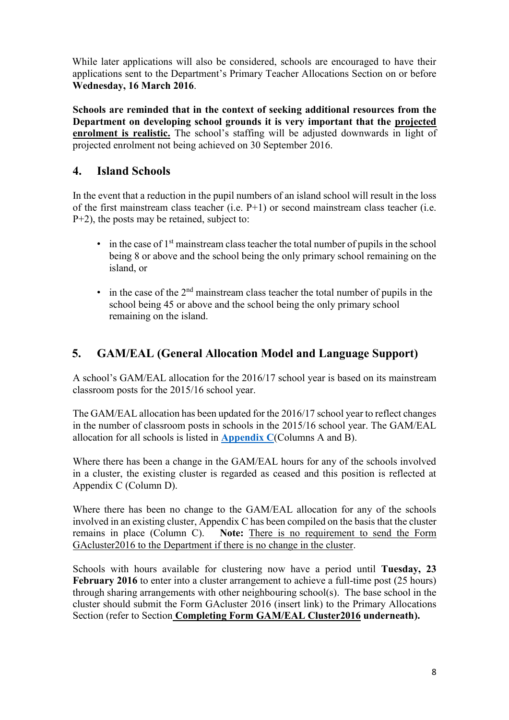While later applications will also be considered, schools are encouraged to have their applications sent to the Department's Primary Teacher Allocations Section on or before **Wednesday, 16 March 2016**.

**Schools are reminded that in the context of seeking additional resources from the Department on developing school grounds it is very important that the projected enrolment is realistic.** The school's staffing will be adjusted downwards in light of projected enrolment not being achieved on 30 September 2016.

## **4. Island Schools**

In the event that a reduction in the pupil numbers of an island school will result in the loss of the first mainstream class teacher (i.e. P+1) or second mainstream class teacher (i.e. P+2), the posts may be retained, subject to:

- $\bullet$  in the case of  $1<sup>st</sup>$  mainstream class teacher the total number of pupils in the school being 8 or above and the school being the only primary school remaining on the island, or
- $\bullet$  in the case of the  $2<sup>nd</sup>$  mainstream class teacher the total number of pupils in the school being 45 or above and the school being the only primary school remaining on the island.

# **5. GAM/EAL (General Allocation Model and Language Support)**

A school's GAM/EAL allocation for the 2016/17 school year is based on its mainstream classroom posts for the 2015/16 school year.

The GAM/EAL allocation has been updated for the 2016/17 school year to reflect changes in the number of classroom posts in schools in the 2015/16 school year. The GAM/EAL allocation for all schools is listed in **[Appendix C](http://www.education.ie/en/Circulars-and-Forms/Active-Circulars/cl0007_2016_appendix_C.pdf)**(Columns A and B).

Where there has been a change in the GAM/EAL hours for any of the schools involved in a cluster, the existing cluster is regarded as ceased and this position is reflected at Appendix C (Column D).

Where there has been no change to the GAM/EAL allocation for any of the schools involved in an existing cluster, Appendix C has been compiled on the basis that the cluster remains in place (Column C). **Note:** There is no requirement to send the Form GAcluster2016 to the Department if there is no change in the cluster.

Schools with hours available for clustering now have a period until **Tuesday, 23 February 2016** to enter into a cluster arrangement to achieve a full-time post (25 hours) through sharing arrangements with other neighbouring school(s). The base school in the cluster should submit the Form GAcluster 2016 (insert link) to the Primary Allocations Section (refer to Section **Completing Form GAM/EAL Cluster2016 underneath).**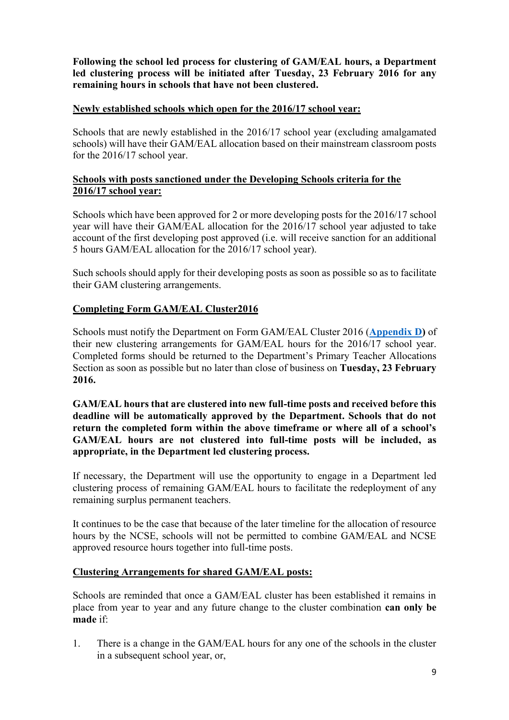**Following the school led process for clustering of GAM/EAL hours, a Department led clustering process will be initiated after Tuesday, 23 February 2016 for any remaining hours in schools that have not been clustered.** 

#### **Newly established schools which open for the 2016/17 school year:**

Schools that are newly established in the 2016/17 school year (excluding amalgamated schools) will have their GAM/EAL allocation based on their mainstream classroom posts for the 2016/17 school year.

### **Schools with posts sanctioned under the Developing Schools criteria for the 2016/17 school year:**

Schools which have been approved for 2 or more developing posts for the 2016/17 school year will have their GAM/EAL allocation for the 2016/17 school year adjusted to take account of the first developing post approved (i.e. will receive sanction for an additional 5 hours GAM/EAL allocation for the 2016/17 school year).

Such schools should apply for their developing posts as soon as possible so as to facilitate their GAM clustering arrangements.

### **Completing Form GAM/EAL Cluster2016**

Schools must notify the Department on Form GAM/EAL Cluster 2016 (**[Appendix D](http://www.education.ie/en/Circulars-and-Forms/Active-Circulars/cl0007_2016_appendix_D.pdf)[\)](http://www.education.ie/en/Circulars-and-Forms/Active-Circulars/cl0013_2013_appendix_D.pdf)** of their new clustering arrangements for GAM/EAL hours for the 2016/17 school year. Completed forms should be returned to the Department's Primary Teacher Allocations Section as soon as possible but no later than close of business on **Tuesday, 23 February 2016.** 

**GAM/EAL hours that are clustered into new full-time posts and received before this deadline will be automatically approved by the Department. Schools that do not return the completed form within the above timeframe or where all of a school's GAM/EAL hours are not clustered into full-time posts will be included, as appropriate, in the Department led clustering process.**

If necessary, the Department will use the opportunity to engage in a Department led clustering process of remaining GAM/EAL hours to facilitate the redeployment of any remaining surplus permanent teachers.

It continues to be the case that because of the later timeline for the allocation of resource hours by the NCSE, schools will not be permitted to combine GAM/EAL and NCSE approved resource hours together into full-time posts.

### **Clustering Arrangements for shared GAM/EAL posts:**

Schools are reminded that once a GAM/EAL cluster has been established it remains in place from year to year and any future change to the cluster combination **can only be made** if:

1. There is a change in the GAM/EAL hours for any one of the schools in the cluster in a subsequent school year, or,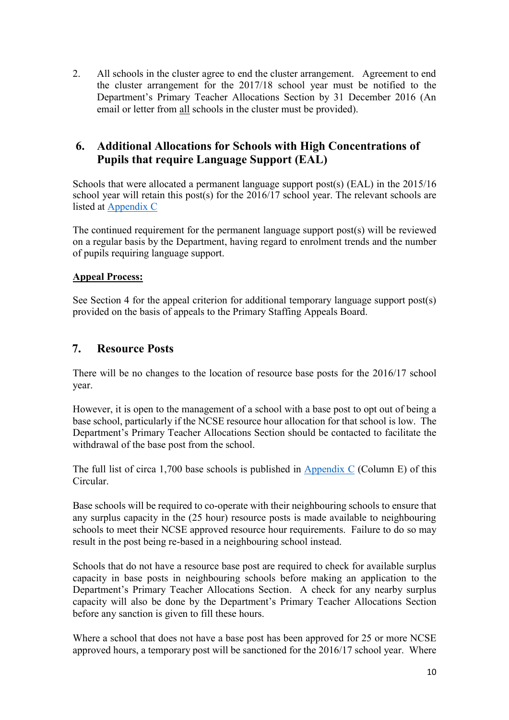2. All schools in the cluster agree to end the cluster arrangement. Agreement to end the cluster arrangement for the 2017/18 school year must be notified to the Department's Primary Teacher Allocations Section by 31 December 2016 (An email or letter from all schools in the cluster must be provided).

## **6. Additional Allocations for Schools with High Concentrations of Pupils that require Language Support (EAL)**

Schools that were allocated a permanent language support post(s) (EAL) in the 2015/16 school year will retain this post(s) for the 2016/17 school year. The relevant schools are listed at [Appendix C](http://www.education.ie/en/Circulars-and-Forms/Active-Circulars/cl0007_2016_appendix_C.pdf)

The continued requirement for the permanent language support post $(s)$  will be reviewed on a regular basis by the Department, having regard to enrolment trends and the number of pupils requiring language support.

### **Appeal Process:**

See Section 4 for the appeal criterion for additional temporary language support post(s) provided on the basis of appeals to the Primary Staffing Appeals Board.

## **7. Resource Posts**

There will be no changes to the location of resource base posts for the 2016/17 school year.

However, it is open to the management of a school with a base post to opt out of being a base school, particularly if the NCSE resource hour allocation for that school is low. The Department's Primary Teacher Allocations Section should be contacted to facilitate the withdrawal of the base post from the school.

The full list of circa 1,700 base schools is published in [Appendix C](http://www.education.ie/en/Circulars-and-Forms/Active-Circulars/cl0007_2016_appendix_C.pdf) (Column E) of this Circular.

Base schools will be required to co-operate with their neighbouring schools to ensure that any surplus capacity in the (25 hour) resource posts is made available to neighbouring schools to meet their NCSE approved resource hour requirements. Failure to do so may result in the post being re-based in a neighbouring school instead.

Schools that do not have a resource base post are required to check for available surplus capacity in base posts in neighbouring schools before making an application to the Department's Primary Teacher Allocations Section. A check for any nearby surplus capacity will also be done by the Department's Primary Teacher Allocations Section before any sanction is given to fill these hours.

Where a school that does not have a base post has been approved for 25 or more NCSE approved hours, a temporary post will be sanctioned for the 2016/17 school year. Where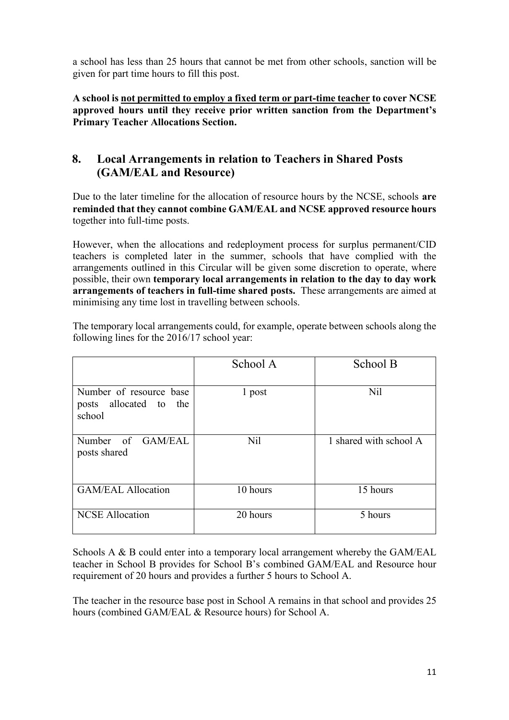a school has less than 25 hours that cannot be met from other schools, sanction will be given for part time hours to fill this post.

**A school is not permitted to employ a fixed term or part-time teacher to cover NCSE approved hours until they receive prior written sanction from the Department's Primary Teacher Allocations Section.** 

## **8. Local Arrangements in relation to Teachers in Shared Posts (GAM/EAL and Resource)**

Due to the later timeline for the allocation of resource hours by the NCSE, schools **are reminded that they cannot combine GAM/EAL and NCSE approved resource hours** together into full-time posts.

However, when the allocations and redeployment process for surplus permanent/CID teachers is completed later in the summer, schools that have complied with the arrangements outlined in this Circular will be given some discretion to operate, where possible, their own **temporary local arrangements in relation to the day to day work arrangements of teachers in full-time shared posts.** These arrangements are aimed at minimising any time lost in travelling between schools.

|                                                             | School A | School B               |
|-------------------------------------------------------------|----------|------------------------|
| Number of resource base<br>posts allocated to the<br>school | 1 post   | Nil                    |
| Number of GAM/EAL<br>posts shared                           | Nil      | 1 shared with school A |
| <b>GAM/EAL Allocation</b>                                   | 10 hours | 15 hours               |
| <b>NCSE Allocation</b>                                      | 20 hours | 5 hours                |

The temporary local arrangements could, for example, operate between schools along the following lines for the 2016/17 school year:

Schools A & B could enter into a temporary local arrangement whereby the GAM/EAL teacher in School B provides for School B's combined GAM/EAL and Resource hour requirement of 20 hours and provides a further 5 hours to School A.

The teacher in the resource base post in School A remains in that school and provides 25 hours (combined GAM/EAL & Resource hours) for School A.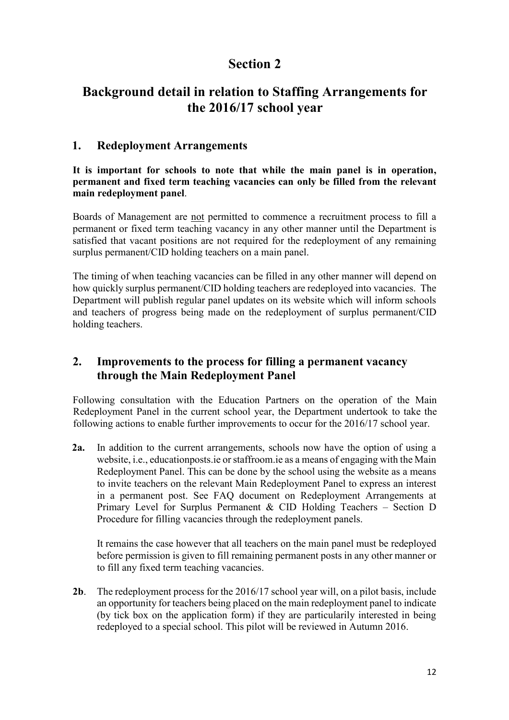# **Section 2**

# **Background detail in relation to Staffing Arrangements for the 2016/17 school year**

## **1. Redeployment Arrangements**

**It is important for schools to note that while the main panel is in operation, permanent and fixed term teaching vacancies can only be filled from the relevant main redeployment panel**.

Boards of Management are not permitted to commence a recruitment process to fill a permanent or fixed term teaching vacancy in any other manner until the Department is satisfied that vacant positions are not required for the redeployment of any remaining surplus permanent/CID holding teachers on a main panel.

The timing of when teaching vacancies can be filled in any other manner will depend on how quickly surplus permanent/CID holding teachers are redeployed into vacancies. The Department will publish regular panel updates on its website which will inform schools and teachers of progress being made on the redeployment of surplus permanent/CID holding teachers.

## **2. Improvements to the process for filling a permanent vacancy through the Main Redeployment Panel**

Following consultation with the Education Partners on the operation of the Main Redeployment Panel in the current school year, the Department undertook to take the following actions to enable further improvements to occur for the 2016/17 school year.

**2a.** In addition to the current arrangements, schools now have the option of using a website, i.e., educationposts.ie or staffroom.ie as a means of engaging with the Main Redeployment Panel. This can be done by the school using the website as a means to invite teachers on the relevant Main Redeployment Panel to express an interest in a permanent post. See FAQ document on Redeployment Arrangements at Primary Level for Surplus Permanent & CID Holding Teachers – Section D Procedure for filling vacancies through the redeployment panels.

It remains the case however that all teachers on the main panel must be redeployed before permission is given to fill remaining permanent posts in any other manner or to fill any fixed term teaching vacancies.

**2b**. The redeployment process for the 2016/17 school year will, on a pilot basis, include an opportunity for teachers being placed on the main redeployment panel to indicate (by tick box on the application form) if they are particularily interested in being redeployed to a special school. This pilot will be reviewed in Autumn 2016.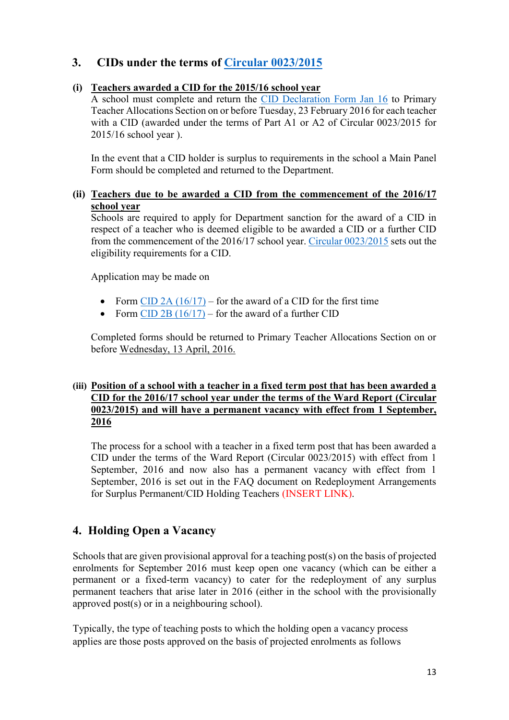## **3. CIDs under the terms of [Circular 0023/2015](http://www.education.ie/en/Circulars-and-Forms/Active-Circulars/Implementation-of-the-Recommendations-of-the-Expert-Group-on-Fixed-Term-and-Part-Time-Employment-in-Primary-and-Second-Level-Education-in-Ireland-Primary-.pdf)**

### **(i) Teachers awarded a CID for the 2015/16 school year**

A school must complete and return the [CID Declaration Form Jan 16](http://www.education.ie/en/Circulars-and-Forms/Active-Circulars/cl0007_2016_appendix_G.pdf) to Primary Teacher Allocations Section on or before Tuesday, 23 February 2016 for each teacher with a CID (awarded under the terms of Part A1 or A2 of Circular 0023/2015 for 2015/16 school year ).

In the event that a CID holder is surplus to requirements in the school a Main Panel Form should be completed and returned to the Department.

### **(ii) Teachers due to be awarded a CID from the commencement of the 2016/17 school year**

Schools are required to apply for Department sanction for the award of a CID in respect of a teacher who is deemed eligible to be awarded a CID or a further CID from the commencement of the 2016/17 school year. [Circular 0023/2015](http://www.education.ie/en/Circulars-and-Forms/Active-Circulars/Implementation-of-the-Recommendations-of-the-Expert-Group-on-Fixed-Term-and-Part-Time-Employment-in-Primary-and-Second-Level-Education-in-Ireland-Primary-.pdf) sets out the eligibility requirements for a CID.

Application may be made on

- Form CID 2A  $(16/17)$  for the award of a CID for the first time
- Form CID 2B  $(16/17)$  for the award of a further CID

Completed forms should be returned to Primary Teacher Allocations Section on or before Wednesday, 13 April, 2016.

#### **(iii) Position of a school with a teacher in a fixed term post that has been awarded a CID for the 2016/17 school year under the terms of the Ward Report (Circular 0023/2015) and will have a permanent vacancy with effect from 1 September, 2016**

The process for a school with a teacher in a fixed term post that has been awarded a CID under the terms of the Ward Report (Circular 0023/2015) with effect from 1 September, 2016 and now also has a permanent vacancy with effect from 1 September, 2016 is set out in the FAQ document on Redeployment Arrangements for Surplus Permanent/CID Holding Teachers (INSERT LINK).

## **4. Holding Open a Vacancy**

Schools that are given provisional approval for a teaching post(s) on the basis of projected enrolments for September 2016 must keep open one vacancy (which can be either a permanent or a fixed-term vacancy) to cater for the redeployment of any surplus permanent teachers that arise later in 2016 (either in the school with the provisionally approved post(s) or in a neighbouring school).

Typically, the type of teaching posts to which the holding open a vacancy process applies are those posts approved on the basis of projected enrolments as follows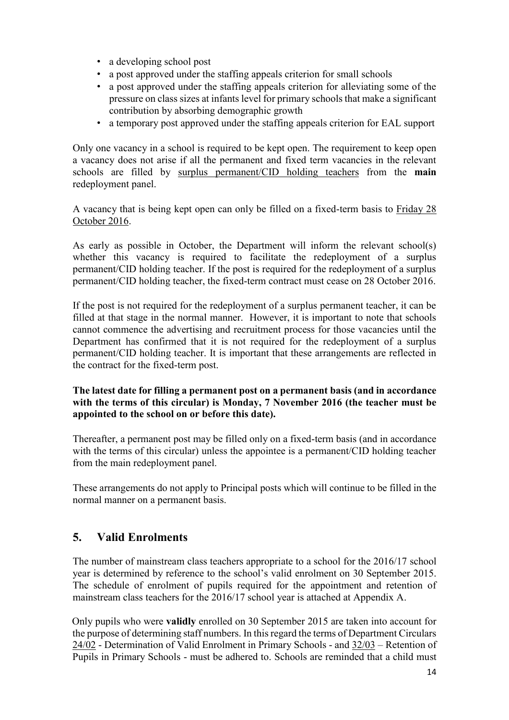- a developing school post
- a post approved under the staffing appeals criterion for small schools
- a post approved under the staffing appeals criterion for alleviating some of the pressure on class sizes at infants level for primary schools that make a significant contribution by absorbing demographic growth
- a temporary post approved under the staffing appeals criterion for EAL support

Only one vacancy in a school is required to be kept open. The requirement to keep open a vacancy does not arise if all the permanent and fixed term vacancies in the relevant schools are filled by surplus permanent/CID holding teachers from the **main** redeployment panel.

A vacancy that is being kept open can only be filled on a fixed-term basis to Friday 28 October 2016.

As early as possible in October, the Department will inform the relevant school(s) whether this vacancy is required to facilitate the redeployment of a surplus permanent/CID holding teacher. If the post is required for the redeployment of a surplus permanent/CID holding teacher, the fixed-term contract must cease on 28 October 2016.

If the post is not required for the redeployment of a surplus permanent teacher, it can be filled at that stage in the normal manner. However, it is important to note that schools cannot commence the advertising and recruitment process for those vacancies until the Department has confirmed that it is not required for the redeployment of a surplus permanent/CID holding teacher. It is important that these arrangements are reflected in the contract for the fixed-term post.

### **The latest date for filling a permanent post on a permanent basis (and in accordance with the terms of this circular) is Monday, 7 November 2016 (the teacher must be appointed to the school on or before this date).**

Thereafter, a permanent post may be filled only on a fixed-term basis (and in accordance with the terms of this circular) unless the appointee is a permanent/CID holding teacher from the main redeployment panel.

These arrangements do not apply to Principal posts which will continue to be filled in the normal manner on a permanent basis.

## **5. Valid Enrolments**

The number of mainstream class teachers appropriate to a school for the 2016/17 school year is determined by reference to the school's valid enrolment on 30 September 2015. The schedule of enrolment of pupils required for the appointment and retention of mainstream class teachers for the 2016/17 school year is attached at Appendix [A.](http://www.education.ie/en/Circulars-and-Forms/Active-Circulars/cl0013_2013_appendix_A.pdf)

Only pupils who were **validly** enrolled on 30 September 2015 are taken into account for the purpose of determining staff numbers. In this regard the terms of Department Circulars [24/02](http://www.education.ie/en/Circulars-and-Forms/Active-Circulars/PC24_02.doc) - Determination of Valid Enrolment in Primary [S](http://www.education.ie/en/Circulars-and-Forms/Active-Circulars/PC24_02.doc)chools [-](http://www.education.ie/en/Circulars-and-Forms/Active-Circulars/PC24_02.doc) and [32/03](http://www.education.ie/en/Circulars-and-Forms/Active-Circulars/pc32_03.pdf) [–](http://www.education.ie/en/Circulars-and-Forms/Active-Circulars/pc32_03.pdf) Retention of Pupils in Primary Schoo[ls](http://www.education.ie/en/Circulars-and-Forms/Active-Circulars/pc32_03.pdf) - must be adhered to. Schools are reminded that a child must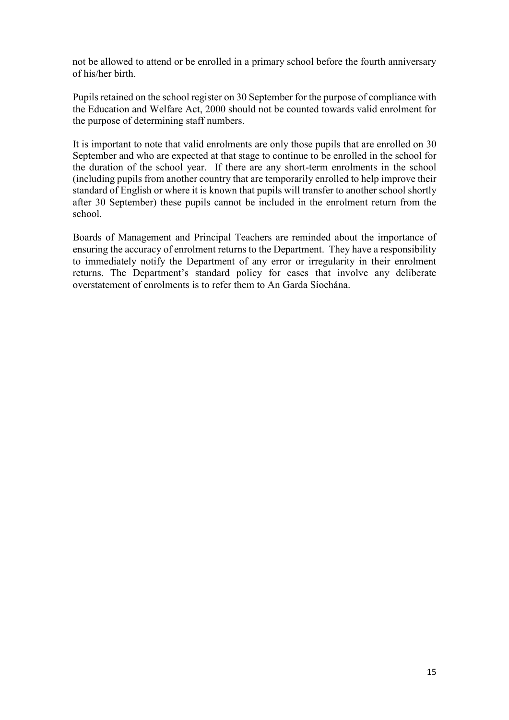not be allowed to attend or be enrolled in a primary school before the fourth anniversary of his/her birth.

Pupils retained on the school register on 30 September for the purpose of compliance with the Education and Welfare Act, 2000 should not be counted towards valid enrolment for the purpose of determining staff numbers.

It is important to note that valid enrolments are only those pupils that are enrolled on 30 September and who are expected at that stage to continue to be enrolled in the school for the duration of the school year. If there are any short-term enrolments in the school (including pupils from another country that are temporarily enrolled to help improve their standard of English or where it is known that pupils will transfer to another school shortly after 30 September) these pupils cannot be included in the enrolment return from the school.

Boards of Management and Principal Teachers are reminded about the importance of ensuring the accuracy of enrolment returns to the Department. They have a responsibility to immediately notify the Department of any error or irregularity in their enrolment returns. The Department's standard policy for cases that involve any deliberate overstatement of enrolments is to refer them to An Garda Síochána.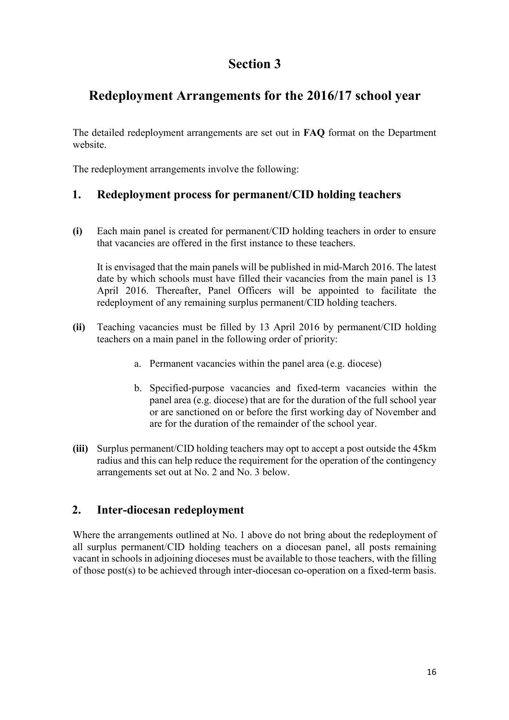# **Section 3**

# **Redeployment Arrangements for the 2016/17 school year**

The detailed redeployment arrangements are set out in **FAQ** format on the Department website.

The redeployment arrangements involve the following:

## **1. Redeployment process for permanent/CID holding teachers**

**(i)** Each main panel is created for permanent/CID holding teachers in order to ensure that vacancies are offered in the first instance to these teachers.

It is envisaged that the main panels will be published in mid-March 2016. The latest date by which schools must have filled their vacancies from the main panel is 13 April 2016. Thereafter, Panel Officers will be appointed to facilitate the redeployment of any remaining surplus permanent/CID holding teachers.

- **(ii)** Teaching vacancies must be filled by 13 April 2016 by permanent/CID holding teachers on a main panel in the following order of priority:
	- a. Permanent vacancies within the panel area (e.g. diocese)
	- b. Specified-purpose vacancies and fixed-term vacancies within the panel area (e.g. diocese) that are for the duration of the full school year or are sanctioned on or before the first working day of November and are for the duration of the remainder of the school year.
- **(iii)** Surplus permanent/CID holding teachers may opt to accept a post outside the 45km radius and this can help reduce the requirement for the operation of the contingency arrangements set out at No. 2 and No. 3 below.

## **2. Inter-diocesan redeployment**

Where the arrangements outlined at No. 1 above do not bring about the redeployment of all surplus permanent/CID holding teachers on a diocesan panel, all posts remaining vacant in schools in adjoining dioceses must be available to those teachers, with the filling of those post(s) to be achieved through inter-diocesan co-operation on a fixed-term basis.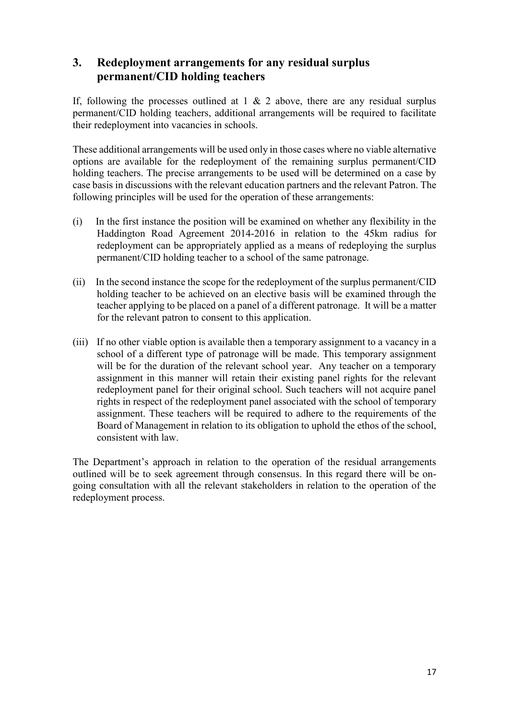## **3. Redeployment arrangements for any residual surplus permanent/CID holding teachers**

If, following the processes outlined at  $1 \& 2$  above, there are any residual surplus permanent/CID holding teachers, additional arrangements will be required to facilitate their redeployment into vacancies in schools.

These additional arrangements will be used only in those cases where no viable alternative options are available for the redeployment of the remaining surplus permanent/CID holding teachers. The precise arrangements to be used will be determined on a case by case basis in discussions with the relevant education partners and the relevant Patron. The following principles will be used for the operation of these arrangements:

- (i) In the first instance the position will be examined on whether any flexibility in the Haddington Road Agreement 2014-2016 in relation to the 45km radius for redeployment can be appropriately applied as a means of redeploying the surplus permanent/CID holding teacher to a school of the same patronage.
- (ii) In the second instance the scope for the redeployment of the surplus permanent/CID holding teacher to be achieved on an elective basis will be examined through the teacher applying to be placed on a panel of a different patronage. It will be a matter for the relevant patron to consent to this application.
- (iii) If no other viable option is available then a temporary assignment to a vacancy in a school of a different type of patronage will be made. This temporary assignment will be for the duration of the relevant school year. Any teacher on a temporary assignment in this manner will retain their existing panel rights for the relevant redeployment panel for their original school. Such teachers will not acquire panel rights in respect of the redeployment panel associated with the school of temporary assignment. These teachers will be required to adhere to the requirements of the Board of Management in relation to its obligation to uphold the ethos of the school, consistent with law.

The Department's approach in relation to the operation of the residual arrangements outlined will be to seek agreement through consensus. In this regard there will be ongoing consultation with all the relevant stakeholders in relation to the operation of the redeployment process.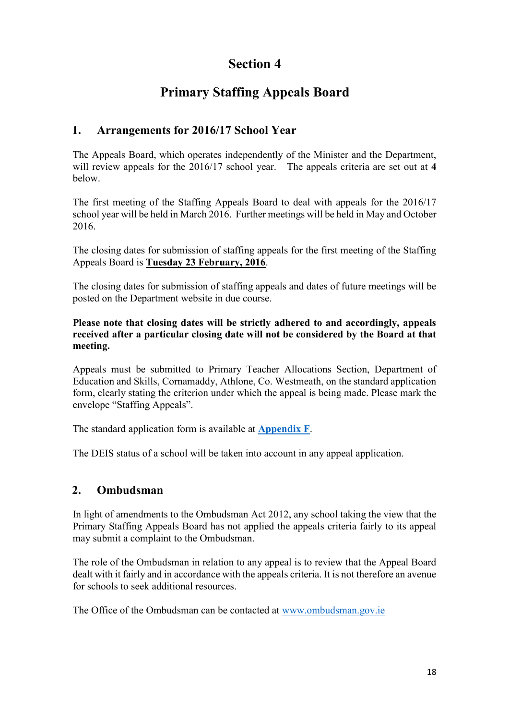# **Section 4**

# **Primary Staffing Appeals Board**

## **1. Arrangements for 2016/17 School Year**

The Appeals Board, which operates independently of the Minister and the Department, will review appeals for the 2016/17 school year. The appeals criteria are set out at **4**  below.

The first meeting of the Staffing Appeals Board to deal with appeals for the 2016/17 school year will be held in March 2016. Further meetings will be held in May and October 2016.

The closing dates for submission of staffing appeals for the first meeting of the Staffing Appeals Board is **Tuesday 23 February, 2016**.

The closing dates for submission of staffing appeals and dates of future meetings will be posted on the Department website in due course.

**Please note that closing dates will be strictly adhered to and accordingly, appeals received after a particular closing date will not be considered by the Board at that meeting.** 

Appeals must be submitted to Primary Teacher Allocations Section, Department of Education and Skills, Cornamaddy, Athlone, Co. Westmeath, on the standard application form, clearly stating the criterion under which the appeal is being made. Please mark the envelope "Staffing Appeals".

The standard application form is available at **[Appendix F](http://www.education.ie/en/Circulars-and-Forms/Active-Circulars/cl0007_2016_appendix_F.pdf)**[.](http://www.education.ie/en/Circulars-and-Forms/Active-Circulars/cl0007_2016_appendix_F.pdf)

The DEIS status of a school will be taken into account in any appeal application.

## **2. Ombudsman**

In light of amendments to the Ombudsman Act 2012, any school taking the view that the Primary Staffing Appeals Board has not applied the appeals criteria fairly to its appeal may submit a complaint to the Ombudsman.

The role of the Ombudsman in relation to any appeal is to review that the Appeal Board dealt with it fairly and in accordance with the appeals criteria. It is not therefore an avenue for schools to seek additional resources.

The Office of the Ombudsman can be contacted at [www.ombudsman.gov.ie](http://www.ombudsman.gov.ie/en)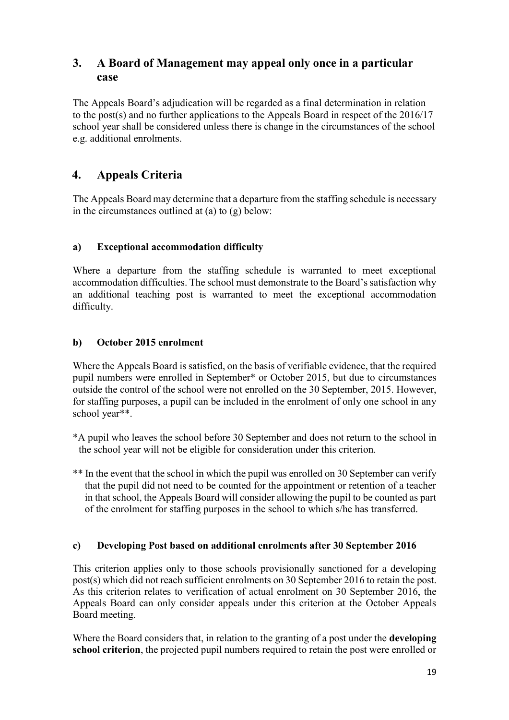## **3. A Board of Management may appeal only once in a particular case**

The Appeals Board's adjudication will be regarded as a final determination in relation to the post(s) and no further applications to the Appeals Board in respect of the 2016/17 school year shall be considered unless there is change in the circumstances of the school e.g. additional enrolments.

## **4. Appeals Criteria**

The Appeals Board may determine that a departure from the staffing schedule is necessary in the circumstances outlined at  $(a)$  to  $(g)$  below:

## **a) Exceptional accommodation difficulty**

Where a departure from the staffing schedule is warranted to meet exceptional accommodation difficulties. The school must demonstrate to the Board's satisfaction why an additional teaching post is warranted to meet the exceptional accommodation difficulty.

### **b) October 2015 enrolment**

Where the Appeals Board is satisfied, on the basis of verifiable evidence, that the required pupil numbers were enrolled in September\* or October 2015, but due to circumstances outside the control of the school were not enrolled on the 30 September, 2015. However, for staffing purposes, a pupil can be included in the enrolment of only one school in any school year\*\*.

- \*A pupil who leaves the school before 30 September and does not return to the school in the school year will not be eligible for consideration under this criterion.
- \*\* In the event that the school in which the pupil was enrolled on 30 September can verify that the pupil did not need to be counted for the appointment or retention of a teacher in that school, the Appeals Board will consider allowing the pupil to be counted as part of the enrolment for staffing purposes in the school to which s/he has transferred.

### **c) Developing Post based on additional enrolments after 30 September 2016**

This criterion applies only to those schools provisionally sanctioned for a developing post(s) which did not reach sufficient enrolments on 30 September 2016 to retain the post. As this criterion relates to verification of actual enrolment on 30 September 2016, the Appeals Board can only consider appeals under this criterion at the October Appeals Board meeting.

Where the Board considers that, in relation to the granting of a post under the **developing school criterion**, the projected pupil numbers required to retain the post were enrolled or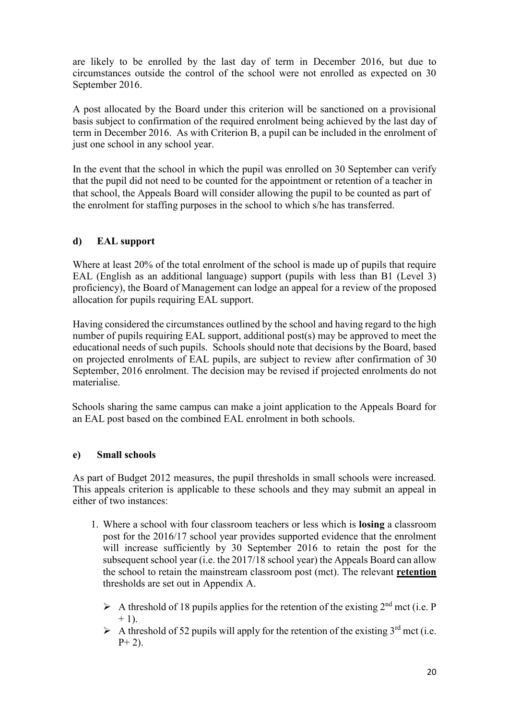are likely to be enrolled by the last day of term in December 2016, but due to circumstances outside the control of the school were not enrolled as expected on 30 September 2016.

A post allocated by the Board under this criterion will be sanctioned on a provisional basis subject to confirmation of the required enrolment being achieved by the last day of term in December 2016. As with Criterion B, a pupil can be included in the enrolment of just one school in any school year.

In the event that the school in which the pupil was enrolled on 30 September can verify that the pupil did not need to be counted for the appointment or retention of a teacher in that school, the Appeals Board will consider allowing the pupil to be counted as part of the enrolment for staffing purposes in the school to which s/he has transferred.

### **d) EAL support**

Where at least 20% of the total enrolment of the school is made up of pupils that require EAL (English as an additional language) support (pupils with less than B1 (Level 3) proficiency), the Board of Management can lodge an appeal for a review of the proposed allocation for pupils requiring EAL support.

Having considered the circumstances outlined by the school and having regard to the high number of pupils requiring EAL support, additional post(s) may be approved to meet the educational needs of such pupils. Schools should note that decisions by the Board, based on projected enrolments of EAL pupils, are subject to review after confirmation of 30 September, 2016 enrolment. The decision may be revised if projected enrolments do not materialise.

Schools sharing the same campus can make a joint application to the Appeals Board for an EAL post based on the combined EAL enrolment in both schools.

### **e) Small schools**

As part of Budget 2012 measures, the pupil thresholds in small schools were increased. This appeals criterion is applicable to these schools and they may submit an appeal in either of two instances:

- 1. Where a school with four classroom teachers or less which is **losing** a classroom post for the 2016/17 school year provides supported evidence that the enrolment will increase sufficiently by 30 September 2016 to retain the post for the subsequent school year (i.e. the 2017/18 school year) the Appeals Board can allow the school to retain the mainstream classroom post (mct). The relevant **retention** thresholds are set out in Appendix A.
	- A threshold of 18 pupils applies for the retention of the existing  $2<sup>nd</sup>$  mct (i.e. P  $+ 1$ ).
	- $\triangleright$  A threshold of 52 pupils will apply for the retention of the existing 3<sup>rd</sup> mct (i.e.  $P+2$ ).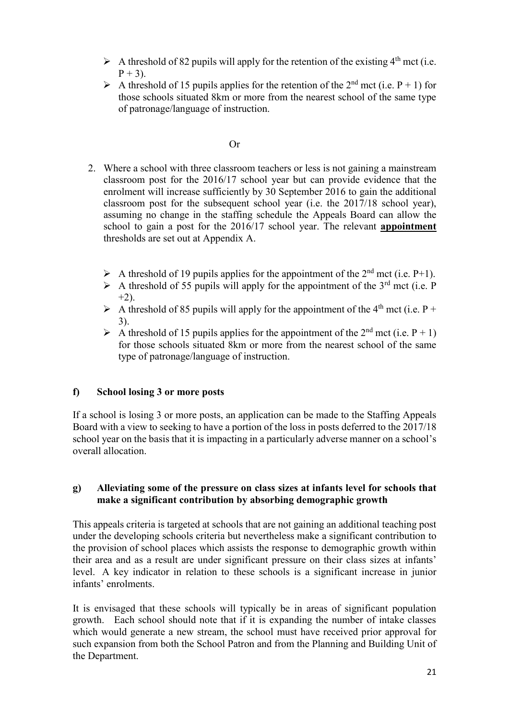- A threshold of 82 pupils will apply for the retention of the existing  $4<sup>th</sup>$  mct (i.e.  $P + 3$ ).
- A threshold of 15 pupils applies for the retention of the 2<sup>nd</sup> mct (i.e. P + 1) for those schools situated 8km or more from the nearest school of the same type of patronage/language of instruction.

#### Or

- 2. Where a school with three classroom teachers or less is not gaining a mainstream classroom post for the 2016/17 school year but can provide evidence that the enrolment will increase sufficiently by 30 September 2016 to gain the additional classroom post for the subsequent school year (i.e. the 2017/18 school year), assuming no change in the staffing schedule the Appeals Board can allow the school to gain a post for the 2016/17 school year. The relevant **appointment** thresholds are set out at Appendix A.
	- A threshold of 19 pupils applies for the appointment of the  $2<sup>nd</sup>$  mct (i.e. P+1).
	- $\triangleright$  A threshold of 55 pupils will apply for the appointment of the 3<sup>rd</sup> mct (i.e. P  $+2)$
	- A threshold of 85 pupils will apply for the appointment of the 4<sup>th</sup> mct (i.e. P + 3).
	- A threshold of 15 pupils applies for the appointment of the  $2^{nd}$  mct (i.e. P + 1) for those schools situated 8km or more from the nearest school of the same type of patronage/language of instruction.

### **f) School losing 3 or more posts**

If a school is losing 3 or more posts, an application can be made to the Staffing Appeals Board with a view to seeking to have a portion of the loss in posts deferred to the 2017/18 school year on the basis that it is impacting in a particularly adverse manner on a school's overall allocation.

#### **g) Alleviating some of the pressure on class sizes at infants level for schools that make a significant contribution by absorbing demographic growth**

This appeals criteria is targeted at schools that are not gaining an additional teaching post under the developing schools criteria but nevertheless make a significant contribution to the provision of school places which assists the response to demographic growth within their area and as a result are under significant pressure on their class sizes at infants' level. A key indicator in relation to these schools is a significant increase in junior infants' enrolments.

It is envisaged that these schools will typically be in areas of significant population growth. Each school should note that if it is expanding the number of intake classes which would generate a new stream, the school must have received prior approval for such expansion from both the School Patron and from the Planning and Building Unit of the Department.